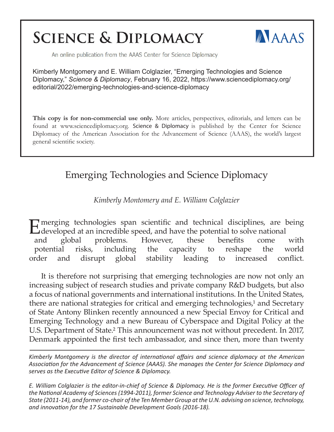# **SCIENCE & DIPLOMACY**



An online publication from the AAAS Center for Science Diplomacy

Kimberly Montgomery and E. William Colglazier, "Emerging Technologies and Science Diplomacy," *Science & Diplomacy*, February 16, 2022, https://www.sciencediplomacy.org/ editorial/2022/emerging-technologies-and-science-diplomacy

**This copy is for non-commercial use only.** More articles, perspectives, editorials, and letters can be found at www.sciencediplomacy.org. Science & Diplomacy is published by the Center for Science Diplomacy of the American Association for the Advancement of Science (AAAS), the world's largest general scientific society.

# Emerging Technologies and Science Diplomacy

*Kimberly Montomery and E. William Colglazier*

E merging technologies span scientific and technical disciplines, are being developed at an incredible speed, and have the potential to solve national and global problems. However, these benefits come with potential risks, including the capacity to reshape the world order and disrupt global stability leading to increased conflict.

It is therefore not surprising that emerging technologies are now not only an increasing subject of research studies and private company R&D budgets, but also a focus of national governments and international institutions. In the United States, there are national strategies for critical and emerging technologies,<sup>1</sup> and Secretary of State Antony Blinken recently announced a new Special Envoy for Critical and Emerging Technology and a new Bureau of Cyberspace and Digital Policy at the U.S. Department of State.<sup>2</sup> This announcement was not without precedent. In 2017, Denmark appointed the first tech ambassador, and since then, more than twenty

*Kimberly Montgomery is the director of international affairs and science diplomacy at the American Association for the Advancement of Science (AAAS). She manages the Center for Science Diplomacy and serves as the Executive Editor of Science & Diplomacy.*

*E. William Colglazier is the editor-in-chief of Science & Diplomacy. He is the former Executive Officer of the National Academy of Sciences (1994-2011), former Science and Technology Adviser to the Secretary of State (2011-14), and former co-chair of the Ten Member Group at the U.N. advising on science, technology, and innovation for the 17 Sustainable Development Goals (2016-18).*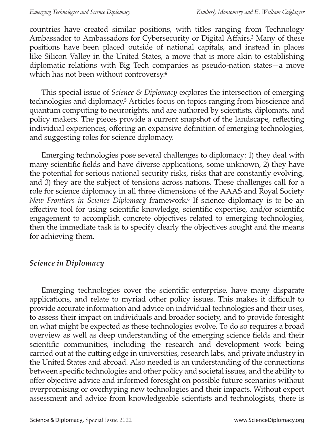countries have created similar positions, with titles ranging from Technology Ambassador to Ambassadors for Cybersecurity or Digital Affairs.<sup>3</sup> Many of these positions have been placed outside of national capitals, and instead in places like Silicon Valley in the United States, a move that is more akin to establishing diplomatic relations with Big Tech companies as pseudo-nation states—a move which has not been without controversy.<sup>4</sup>

This special issue of *Science & Diplomacy* explores the intersection of emerging technologies and diplomacy.<sup>5</sup> Articles focus on topics ranging from bioscience and quantum computing to neurorights, and are authored by scientists, diplomats, and policy makers. The pieces provide a current snapshot of the landscape, reflecting individual experiences, offering an expansive definition of emerging technologies, and suggesting roles for science diplomacy.

Emerging technologies pose several challenges to diplomacy: 1) they deal with many scientific fields and have diverse applications, some unknown, 2) they have the potential for serious national security risks, risks that are constantly evolving, and 3) they are the subject of tensions across nations. These challenges call for a role for science diplomacy in all three dimensions of the AAAS and Royal Society *New Frontiers in Science Diplomacy* framework.<sup>6</sup> If science diplomacy is to be an effective tool for using scientific knowledge, scientific expertise, and/or scientific engagement to accomplish concrete objectives related to emerging technologies, then the immediate task is to specify clearly the objectives sought and the means for achieving them.

### *Science in Diplomacy*

Emerging technologies cover the scientific enterprise, have many disparate applications, and relate to myriad other policy issues. This makes it difficult to provide accurate information and advice on individual technologies and their uses, to assess their impact on individuals and broader society, and to provide foresight on what might be expected as these technologies evolve. To do so requires a broad overview as well as deep understanding of the emerging science fields and their scientific communities, including the research and development work being carried out at the cutting edge in universities, research labs, and private industry in the United States and abroad. Also needed is an understanding of the connections between specific technologies and other policy and societal issues, and the ability to offer objective advice and informed foresight on possible future scenarios without overpromising or overhyping new technologies and their impacts. Without expert assessment and advice from knowledgeable scientists and technologists, there is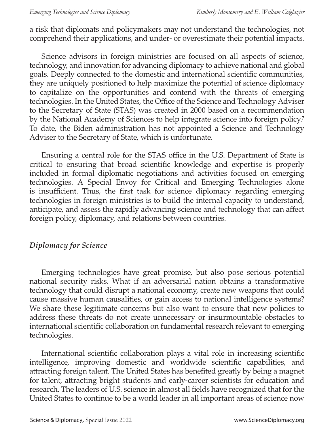a risk that diplomats and policymakers may not understand the technologies, not comprehend their applications, and under- or overestimate their potential impacts.

Science advisors in foreign ministries are focused on all aspects of science, technology, and innovation for advancing diplomacy to achieve national and global goals. Deeply connected to the domestic and international scientific communities, they are uniquely positioned to help maximize the potential of science diplomacy to capitalize on the opportunities and contend with the threats of emerging technologies. In the United States, the Office of the Science and Technology Adviser to the Secretary of State (STAS) was created in 2000 based on a recommendation by the National Academy of Sciences to help integrate science into foreign policy.<sup>7</sup> To date, the Biden administration has not appointed a Science and Technology Adviser to the Secretary of State, which is unfortunate.

Ensuring a central role for the STAS office in the U.S. Department of State is critical to ensuring that broad scientific knowledge and expertise is properly included in formal diplomatic negotiations and activities focused on emerging technologies. A Special Envoy for Critical and Emerging Technologies alone is insufficient. Thus, the first task for science diplomacy regarding emerging technologies in foreign ministries is to build the internal capacity to understand, anticipate, and assess the rapidly advancing science and technology that can affect foreign policy, diplomacy, and relations between countries.

# *Diplomacy for Science*

Emerging technologies have great promise, but also pose serious potential national security risks. What if an adversarial nation obtains a transformative technology that could disrupt a national economy, create new weapons that could cause massive human causalities, or gain access to national intelligence systems? We share these legitimate concerns but also want to ensure that new policies to address these threats do not create unnecessary or insurmountable obstacles to international scientific collaboration on fundamental research relevant to emerging technologies.

International scientific collaboration plays a vital role in increasing scientific intelligence, improving domestic and worldwide scientific capabilities, and attracting foreign talent. The United States has benefited greatly by being a magnet for talent, attracting bright students and early-career scientists for education and research. The leaders of U.S. science in almost all fields have recognized that for the United States to continue to be a world leader in all important areas of science now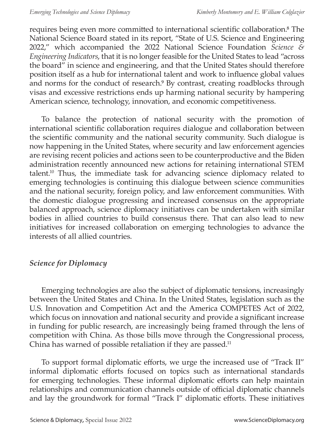requires being even more committed to international scientific collaboration.<sup>8</sup> The National Science Board stated in its report, "State of U.S. Science and Engineering 2022," which accompanied the 2022 National Science Foundation *Science & Engineering Indicators*, that it is no longer feasible for the United States to lead "across the board" in science and engineering, and that the United States should therefore position itself as a hub for international talent and work to influence global values and norms for the conduct of research.<sup>9</sup> By contrast, creating roadblocks through visas and excessive restrictions ends up harming national security by hampering American science, technology, innovation, and economic competitiveness.

To balance the protection of national security with the promotion of international scientific collaboration requires dialogue and collaboration between the scientific community and the national security community. Such dialogue is now happening in the United States, where security and law enforcement agencies are revising recent policies and actions seen to be counterproductive and the Biden administration recently announced new actions for retaining international STEM talent.10 Thus, the immediate task for advancing science diplomacy related to emerging technologies is continuing this dialogue between science communities and the national security, foreign policy, and law enforcement communities. With the domestic dialogue progressing and increased consensus on the appropriate balanced approach, science diplomacy initiatives can be undertaken with similar bodies in allied countries to build consensus there. That can also lead to new initiatives for increased collaboration on emerging technologies to advance the interests of all allied countries.

## *Science for Diplomacy*

Emerging technologies are also the subject of diplomatic tensions, increasingly between the United States and China. In the United States, legislation such as the U.S. Innovation and Competition Act and the America COMPETES Act of 2022, which focus on innovation and national security and provide a significant increase in funding for public research, are increasingly being framed through the lens of competition with China. As those bills move through the Congressional process, China has warned of possible retaliation if they are passed.<sup>11</sup>

To support formal diplomatic efforts, we urge the increased use of "Track II" informal diplomatic efforts focused on topics such as international standards for emerging technologies. These informal diplomatic efforts can help maintain relationships and communication channels outside of official diplomatic channels and lay the groundwork for formal "Track I" diplomatic efforts. These initiatives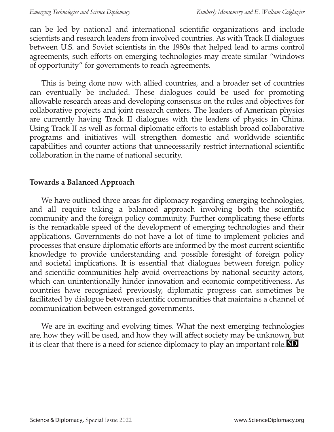can be led by national and international scientific organizations and include scientists and research leaders from involved countries. As with Track II dialogues between U.S. and Soviet scientists in the 1980s that helped lead to arms control agreements, such efforts on emerging technologies may create similar "windows of opportunity" for governments to reach agreements.

This is being done now with allied countries, and a broader set of countries can eventually be included. These dialogues could be used for promoting allowable research areas and developing consensus on the rules and objectives for collaborative projects and joint research centers. The leaders of American physics are currently having Track II dialogues with the leaders of physics in China. Using Track II as well as formal diplomatic efforts to establish broad collaborative programs and initiatives will strengthen domestic and worldwide scientific capabilities and counter actions that unnecessarily restrict international scientific collaboration in the name of national security.

### **Towards a Balanced Approach**

We have outlined three areas for diplomacy regarding emerging technologies, and all require taking a balanced approach involving both the scientific community and the foreign policy community. Further complicating these efforts is the remarkable speed of the development of emerging technologies and their applications. Governments do not have a lot of time to implement policies and processes that ensure diplomatic efforts are informed by the most current scientific knowledge to provide understanding and possible foresight of foreign policy and societal implications. It is essential that dialogues between foreign policy and scientific communities help avoid overreactions by national security actors, which can unintentionally hinder innovation and economic competitiveness. As countries have recognized previously, diplomatic progress can sometimes be facilitated by dialogue between scientific communities that maintains a channel of communication between estranged governments.

We are in exciting and evolving times. What the next emerging technologies are, how they will be used, and how they will affect society may be unknown, but it is clear that there is a need for science diplomacy to play an important role. **SD**